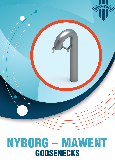

# **GOOSENECKS** NYBORG – MAWENT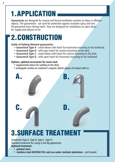### 1.APPLICATION

**Goosenecks** are designed for natural and forced ventilation systems at ships or offshore objects. The goosenecks - are used for protection against seawater spray and rain. All gooseneck have closing hatch. They are designed for installation on open decks for supply and exhaust of air.

### 2.CONSTRUCTION

#### **Guide of Nyborg-Mawent goosenecks:**

- **Gooseneck Type A**  small elbow with hatch for horizontal mounting to the bulkhead,
- **Gooseneck Type B**  with open hatch for vertical mounting to the deck,
- **Gooseneck Type C**  small elbow with hatch for vertical mounting to the deck,
- **Gooseneck Type D**  with open hatch for horizontal mounting to the bulkhead.

#### **Options, optional accessories for swan neck:**

- ungalvanized sleeve for welding to the deck.
- rectangular section on customer's request, before please of contact with us.



Gooseneck Type A, Type B, Type C, Type D: Standard treatment for casing is hot dip galvanized. **Optional treatment:**

- **painted steel,**
- **stainless steel AISI304/316L and sea water resistant aluminium**  acid treated.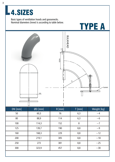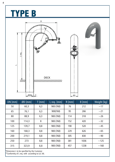## YPE B



| $DN$ [mm] | $ØD$ [mm] | $T$ [mm] | $L$ req. $[mm]$ | $R$ [mm] | $B$ [mm] | Weight [kg] |
|-----------|-----------|----------|-----------------|----------|----------|-------------|
| 50        | 60,3      | 6,3      | 900 (760)       | 76       | 212      | ~17         |
| 65        | 76,1      | 6,3      | 900(760)        | 95       | 266      | $-21$       |
| 80        | 88,9      | 6,3      | 900 (760)       | 114      | 318      | ~26         |
| 100       | 114,3     | 8        | 900 (760)       | 152      | 420      | $~1$ - 32   |
| 125       | 139,7     | 8,8      | 900 (760)       | 190      | 520      | ~1          |
| 160       | 168,3     | 8,8      | 900 (760)       | 229      | 626      | $~1$ –65    |
| 200       | 219,1     | 8,8      | 900 (760)       | 305      | 830      | ~1          |
| 250       | 273       | 8,8      | 900 (760)       | 381      | 1036     | ~125        |
| 315       | 323,9     | 8,8      | 900 (760)       | 457      | 1238     | ~160        |
|           |           |          |                 |          |          |             |

\*Dimension L to be specified by the Customer

\*\*Conformity of L req. with according to LLC 66.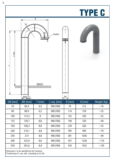

\*Dimension L to be specified by the Customer

\*\*Conformity of L req. with according to LLC 66.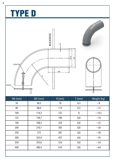# TYPE D





| $DN$ [mm] | $ØD$ [mm] | $R$ [mm] | $T$ [mm] | Weight [kg] |
|-----------|-----------|----------|----------|-------------|
| 50        | 60,3      | 76       | 6,3      | $\sim$ 8    |
| 80        | 88,9      | 114      | 6,3      | ~12         |
| 100       | 114,3     | 152      | 8        | ~14,5       |
| 125       | 139,7     | 190      | 8,8      | ~19         |
| 160       | 168,3     | 229      | 8,8      | $\sim$ 22   |
| 200       | 219,1     | 305      | 8,8      | $~1$ - 30   |
| 250       | 273       | 381      | 8,8      | $~1$ - 38   |
| 300       | 323,9     | 457      | 8,8      | ~1          |
| 350       | 355,6     | 533      | 8,8      | $~1$ -54    |
| 400       | 406,4     | 610      | 8,8      | $~1$ –64    |
|           |           |          |          |             |